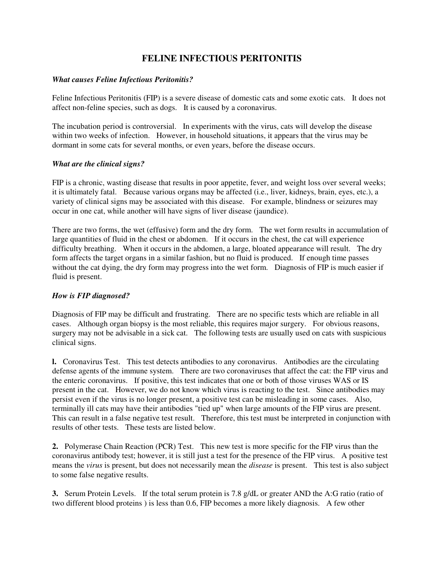# **FELINE INFECTIOUS PERITONITIS**

## *What causes Feline Infectious Peritonitis?*

Feline Infectious Peritonitis (FIP) is a severe disease of domestic cats and some exotic cats. It does not affect non-feline species, such as dogs. It is caused by a coronavirus.

The incubation period is controversial. In experiments with the virus, cats will develop the disease within two weeks of infection. However, in household situations, it appears that the virus may be dormant in some cats for several months, or even years, before the disease occurs.

## *What are the clinical signs?*

FIP is a chronic, wasting disease that results in poor appetite, fever, and weight loss over several weeks; it is ultimately fatal. Because various organs may be affected (i.e., liver, kidneys, brain, eyes, etc.), a variety of clinical signs may be associated with this disease. For example, blindness or seizures may occur in one cat, while another will have signs of liver disease (jaundice).

There are two forms, the wet (effusive) form and the dry form. The wet form results in accumulation of large quantities of fluid in the chest or abdomen. If it occurs in the chest, the cat will experience difficulty breathing. When it occurs in the abdomen, a large, bloated appearance will result. The dry form affects the target organs in a similar fashion, but no fluid is produced. If enough time passes without the cat dying, the dry form may progress into the wet form. Diagnosis of FIP is much easier if fluid is present.

# *How is FIP diagnosed?*

Diagnosis of FIP may be difficult and frustrating. There are no specific tests which are reliable in all cases. Although organ biopsy is the most reliable, this requires major surgery. For obvious reasons, surgery may not be advisable in a sick cat. The following tests are usually used on cats with suspicious clinical signs.

**l.** Coronavirus Test. This test detects antibodies to any coronavirus. Antibodies are the circulating defense agents of the immune system. There are two coronaviruses that affect the cat: the FIP virus and the enteric coronavirus. If positive, this test indicates that one or both of those viruses WAS or IS present in the cat. However, we do not know which virus is reacting to the test. Since antibodies may persist even if the virus is no longer present, a positive test can be misleading in some cases. Also, terminally ill cats may have their antibodies "tied up" when large amounts of the FIP virus are present. This can result in a false negative test result. Therefore, this test must be interpreted in conjunction with results of other tests. These tests are listed below.

**2.** Polymerase Chain Reaction (PCR) Test. This new test is more specific for the FIP virus than the coronavirus antibody test; however, it is still just a test for the presence of the FIP virus. A positive test means the *virus* is present, but does not necessarily mean the *disease* is present. This test is also subject to some false negative results.

**3.** Serum Protein Levels. If the total serum protein is 7.8 g/dL or greater AND the A:G ratio (ratio of two different blood proteins ) is less than 0.6, FIP becomes a more likely diagnosis. A few other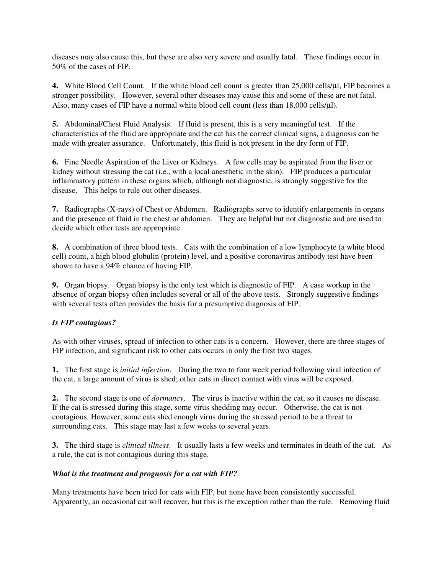diseases may also cause this, but these are also very severe and usually fatal. These findings occur in 50% of the cases of FIP.

**4.** White Blood Cell Count. If the white blood cell count is greater than 25,000 cells/ $\mu$ l, FIP becomes a stronger possibility. However, several other diseases may cause this and some of these are not fatal. Also, many cases of FIP have a normal white blood cell count (less than 18,000 cells/µl).

**5.** Abdominal/Chest Fluid Analysis. If fluid is present, this is a very meaningful test. If the characteristics of the fluid are appropriate and the cat has the correct clinical signs, a diagnosis can be made with greater assurance. Unfortunately, this fluid is not present in the dry form of FIP.

**6.** Fine Needle Aspiration of the Liver or Kidneys. A few cells may be aspirated from the liver or kidney without stressing the cat (i.e., with a local anesthetic in the skin). FIP produces a particular inflammatory pattern in these organs which, although not diagnostic, is strongly suggestive for the disease. This helps to rule out other diseases.

**7.** Radiographs (X-rays) of Chest or Abdomen. Radiographs serve to identify enlargements in organs and the presence of fluid in the chest or abdomen. They are helpful but not diagnostic and are used to decide which other tests are appropriate.

**8.** A combination of three blood tests. Cats with the combination of a low lymphocyte (a white blood cell) count, a high blood globulin (protein) level, and a positive coronavirus antibody test have been shown to have a 94% chance of having FIP.

**9.** Organ biopsy. Organ biopsy is the only test which is diagnostic of FIP. A case workup in the absence of organ biopsy often includes several or all of the above tests. Strongly suggestive findings with several tests often provides the basis for a presumptive diagnosis of FIP.

# *Is FIP contagious?*

As with other viruses, spread of infection to other cats is a concern. However, there are three stages of FIP infection, and significant risk to other cats occurs in only the first two stages.

**1.** The first stage is *initial infection*. During the two to four week period following viral infection of the cat, a large amount of virus is shed; other cats in direct contact with virus will be exposed.

**2.** The second stage is one of *dormancy*. The virus is inactive within the cat, so it causes no disease. If the cat is stressed during this stage, some virus shedding may occur. Otherwise, the cat is not contagious. However, some cats shed enough virus during the stressed period to be a threat to surrounding cats. This stage may last a few weeks to several years.

**3.** The third stage is *clinical illness*. It usually lasts a few weeks and terminates in death of the cat. As a rule, the cat is not contagious during this stage.

### *What is the treatment and prognosis for a cat with FIP?*

Many treatments have been tried for cats with FIP, but none have been consistently successful. Apparently, an occasional cat will recover, but this is the exception rather than the rule. Removing fluid